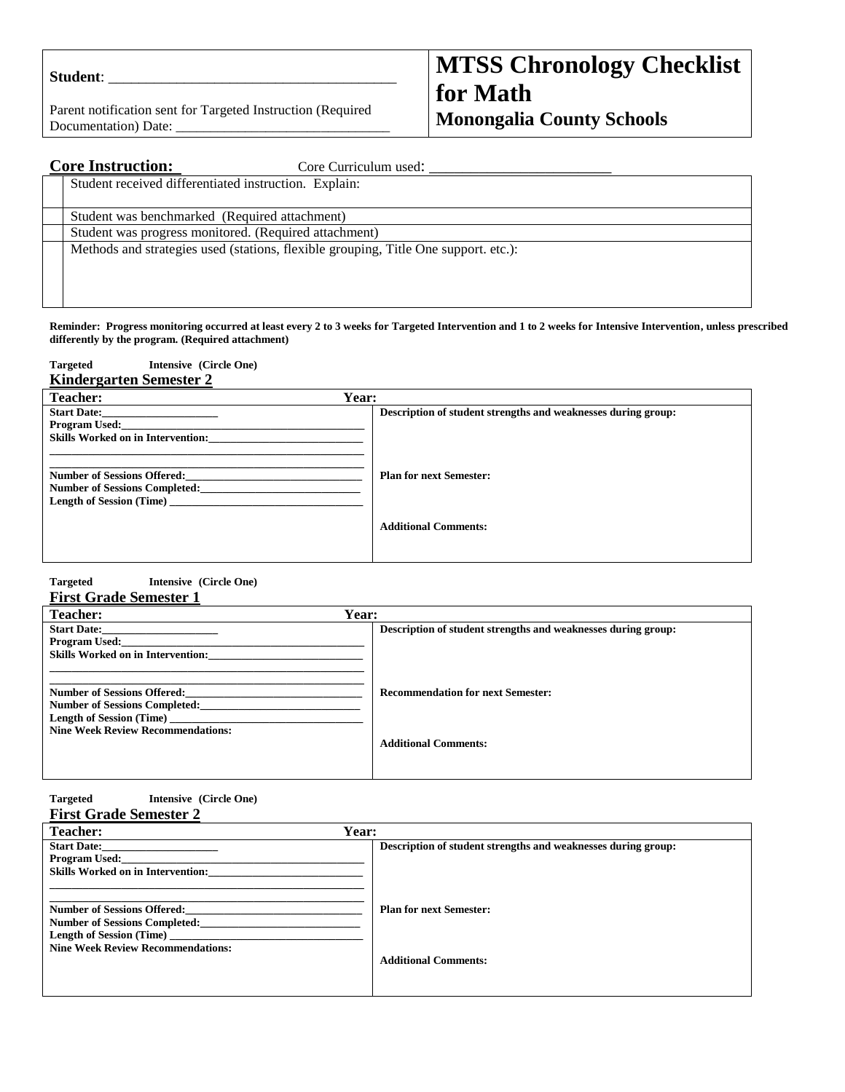| <b>Student:</b> |  |
|-----------------|--|
|                 |  |

Parent notification sent for Targeted Instruction (Required Documentation) Date:

# **MTSS Chronology Checklist for Math Monongalia County Schools**

| <b>Core Instruction:</b><br>Core Curriculum used:                                   |
|-------------------------------------------------------------------------------------|
| Student received differentiated instruction. Explain:                               |
|                                                                                     |
| Student was benchmarked (Required attachment)                                       |
| Student was progress monitored. (Required attachment)                               |
| Methods and strategies used (stations, flexible grouping, Title One support. etc.): |
|                                                                                     |
|                                                                                     |
|                                                                                     |

**Reminder: Progress monitoring occurred at least every 2 to 3 weeks for Targeted Intervention and 1 to 2 weeks for Intensive Intervention, unless prescribed differently by the program. (Required attachment)**

| Intensive (Circle One)<br><b>Targeted</b>                                                              |                                                               |
|--------------------------------------------------------------------------------------------------------|---------------------------------------------------------------|
| <b>Kindergarten Semester 2</b>                                                                         |                                                               |
| Year:<br><b>Teacher:</b>                                                                               |                                                               |
| <b>Start Date:</b><br><b>Program Used:</b><br><b>Skills Worked on in Intervention:</b>                 | Description of student strengths and weaknesses during group: |
| <b>Number of Sessions Offered:</b><br>Number of Sessions Completed:<br><b>Length of Session (Time)</b> | <b>Plan for next Semester:</b>                                |
|                                                                                                        | <b>Additional Comments:</b>                                   |

#### **Targeted Intensive (Circle One) First Grade Semester 1**

| <b>Teacher:</b>                          | Year:                                                         |
|------------------------------------------|---------------------------------------------------------------|
| <b>Start Date:</b>                       | Description of student strengths and weaknesses during group: |
| Program Used:                            |                                                               |
| <b>Skills Worked on in Intervention:</b> |                                                               |
|                                          |                                                               |
| <b>Number of Sessions Offered:</b>       | <b>Recommendation for next Semester:</b>                      |
| <b>Number of Sessions Completed:</b>     |                                                               |
| Length of Session (Time)                 |                                                               |
| <b>Nine Week Review Recommendations:</b> |                                                               |
|                                          | <b>Additional Comments:</b>                                   |
|                                          |                                                               |
|                                          |                                                               |

| Targeted |  |  | Intensive (Circle One) |  |
|----------|--|--|------------------------|--|
|          |  |  |                        |  |

|  | <b>First Grade Semester 2</b> |  |
|--|-------------------------------|--|

| <b>Teacher:</b>                          | Year:                                                         |
|------------------------------------------|---------------------------------------------------------------|
| <b>Start Date:</b>                       | Description of student strengths and weaknesses during group: |
| <b>Program Used:</b>                     |                                                               |
| <b>Skills Worked on in Intervention:</b> |                                                               |
|                                          |                                                               |
| <b>Number of Sessions Offered:</b>       | <b>Plan for next Semester:</b>                                |
| <b>Number of Sessions Completed:</b>     |                                                               |
| <b>Length of Session (Time)</b>          |                                                               |
| <b>Nine Week Review Recommendations:</b> |                                                               |
|                                          | <b>Additional Comments:</b>                                   |
|                                          |                                                               |
|                                          |                                                               |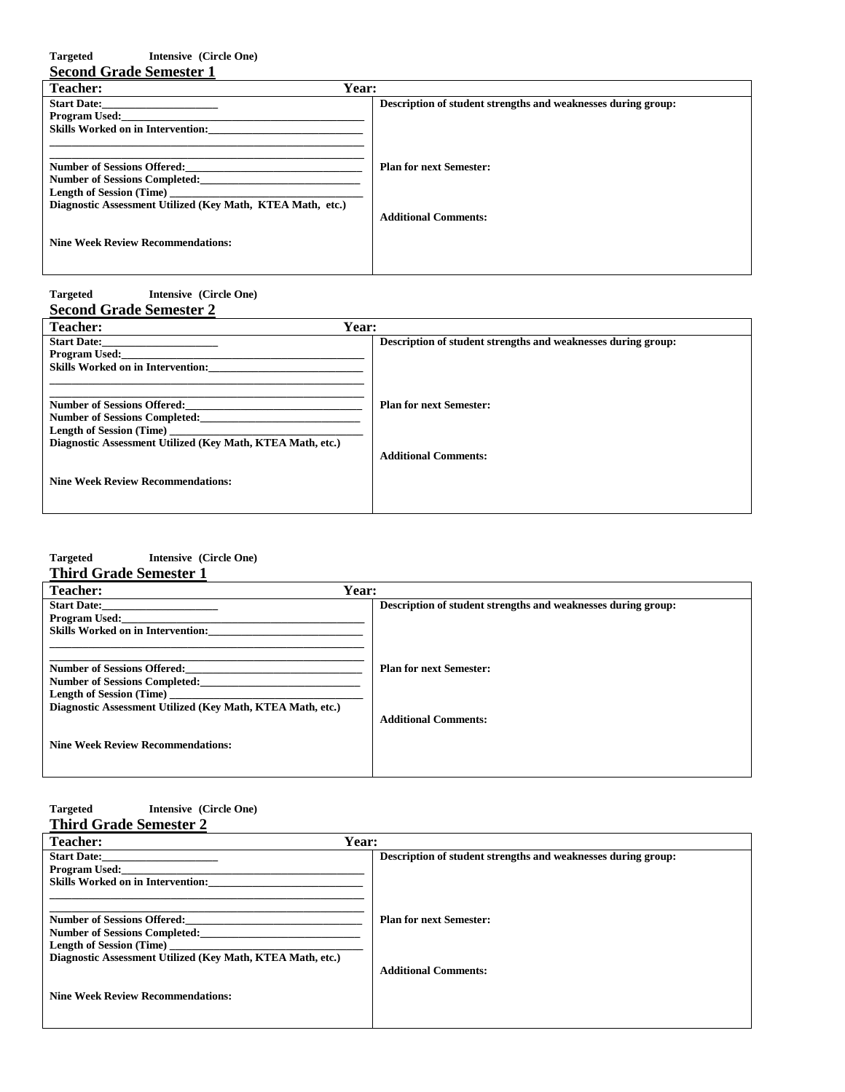| Intensive (Circle One)<br><b>Targeted</b>                  |                                                               |
|------------------------------------------------------------|---------------------------------------------------------------|
| <b>Second Grade Semester 1</b>                             |                                                               |
| Year:<br>Teacher:                                          |                                                               |
| <b>Start Date:</b>                                         | Description of student strengths and weaknesses during group: |
| <b>Program Used:</b>                                       |                                                               |
| <b>Skills Worked on in Intervention:</b>                   |                                                               |
|                                                            |                                                               |
| <b>Number of Sessions Offered:</b>                         | <b>Plan for next Semester:</b>                                |
| <b>Number of Sessions Completed:</b>                       |                                                               |
| <b>Length of Session (Time)</b>                            |                                                               |
| Diagnostic Assessment Utilized (Key Math, KTEA Math, etc.) |                                                               |
|                                                            | <b>Additional Comments:</b>                                   |
| <b>Nine Week Review Recommendations:</b>                   |                                                               |

## **Targeted Intensive (Circle One) Second Grade Semester 2**

| Year:<br><b>Teacher:</b>                                   |                                                               |
|------------------------------------------------------------|---------------------------------------------------------------|
| <b>Start Date:</b>                                         | Description of student strengths and weaknesses during group: |
| <b>Program Used:</b>                                       |                                                               |
| <b>Skills Worked on in Intervention:</b>                   |                                                               |
|                                                            |                                                               |
| <b>Number of Sessions Offered:</b>                         | <b>Plan for next Semester:</b>                                |
|                                                            |                                                               |
| <b>Number of Sessions Completed:</b>                       |                                                               |
| <b>Length of Session (Time)</b>                            |                                                               |
| Diagnostic Assessment Utilized (Key Math, KTEA Math, etc.) |                                                               |
|                                                            | <b>Additional Comments:</b>                                   |
|                                                            |                                                               |
| <b>Nine Week Review Recommendations:</b>                   |                                                               |
|                                                            |                                                               |
|                                                            |                                                               |

# **Targeted Intensive (Circle One)**

## **Third Grade Semester 1**

| <b>Teacher:</b>                                            | Year:                                                         |
|------------------------------------------------------------|---------------------------------------------------------------|
| <b>Start Date:</b>                                         | Description of student strengths and weaknesses during group: |
| Program Used:                                              |                                                               |
| <b>Skills Worked on in Intervention:</b>                   |                                                               |
|                                                            |                                                               |
| <b>Number of Sessions Offered:</b>                         | <b>Plan for next Semester:</b>                                |
| <b>Number of Sessions Completed:</b>                       |                                                               |
| <b>Length of Session (Time)</b>                            |                                                               |
| Diagnostic Assessment Utilized (Key Math, KTEA Math, etc.) |                                                               |
|                                                            | <b>Additional Comments:</b>                                   |
| <b>Nine Week Review Recommendations:</b>                   |                                                               |
|                                                            |                                                               |
|                                                            |                                                               |

#### **Targeted Intensive (Circle One) Third Grade Semester 2**

| <b>Teacher:</b>                                            | Year:                                                         |
|------------------------------------------------------------|---------------------------------------------------------------|
| <b>Start Date:</b>                                         | Description of student strengths and weaknesses during group: |
| <b>Program Used:</b>                                       |                                                               |
| <b>Skills Worked on in Intervention:</b>                   |                                                               |
|                                                            |                                                               |
|                                                            |                                                               |
| <b>Number of Sessions Offered:</b>                         | <b>Plan for next Semester:</b>                                |
| <b>Number of Sessions Completed:</b>                       |                                                               |
| Length of Session (Time)                                   |                                                               |
| Diagnostic Assessment Utilized (Key Math, KTEA Math, etc.) |                                                               |
|                                                            | <b>Additional Comments:</b>                                   |
|                                                            |                                                               |
| <b>Nine Week Review Recommendations:</b>                   |                                                               |
|                                                            |                                                               |
|                                                            |                                                               |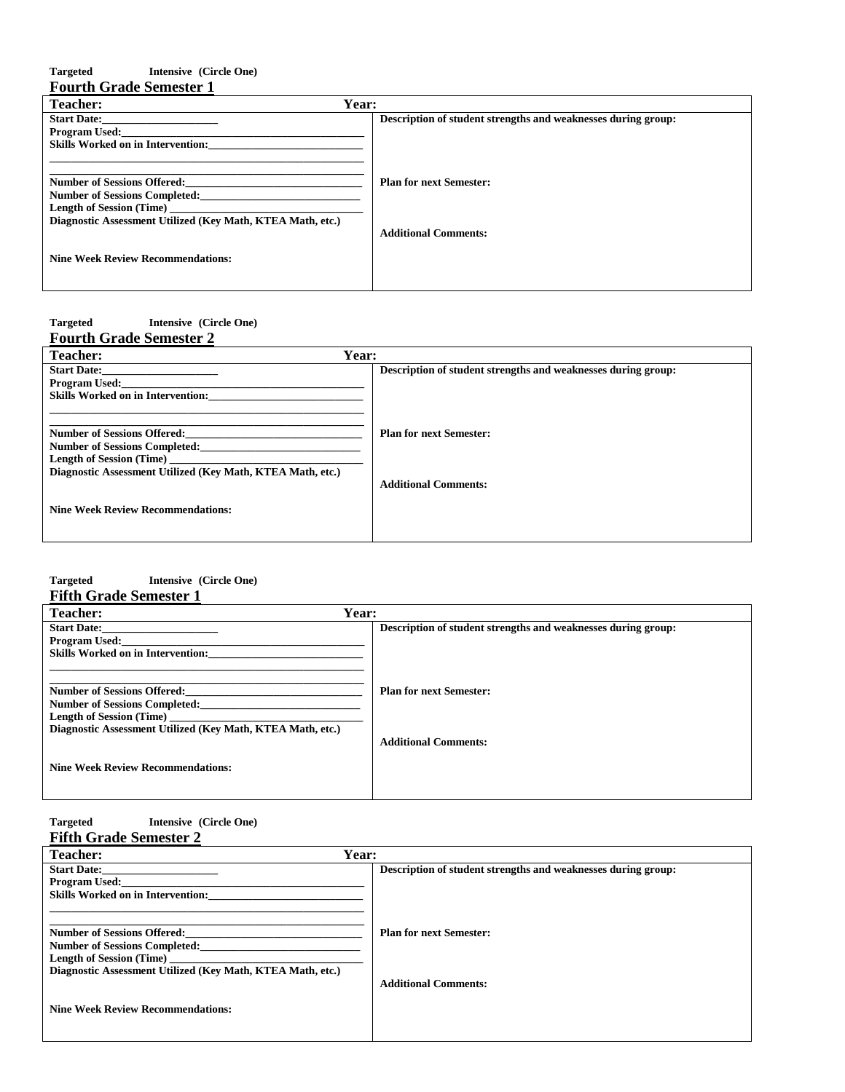## **Targeted Intensive (Circle One) Fourth Grade Semester 1**

| Year:<br><b>Teacher:</b>                                   |                                                               |
|------------------------------------------------------------|---------------------------------------------------------------|
| <b>Start Date:</b>                                         | Description of student strengths and weaknesses during group: |
| Program Used:                                              |                                                               |
| <b>Skills Worked on in Intervention:</b>                   |                                                               |
|                                                            |                                                               |
| <b>Number of Sessions Offered:</b>                         | <b>Plan for next Semester:</b>                                |
| <b>Number of Sessions Completed:</b>                       |                                                               |
| <b>Length of Session (Time)</b>                            |                                                               |
| Diagnostic Assessment Utilized (Key Math, KTEA Math, etc.) |                                                               |
|                                                            | <b>Additional Comments:</b>                                   |
| <b>Nine Week Review Recommendations:</b>                   |                                                               |
|                                                            |                                                               |
|                                                            |                                                               |

#### **Targeted Intensive (Circle One)**

| <b>Fourth Grade Semester 2</b>                                                                |                                                               |
|-----------------------------------------------------------------------------------------------|---------------------------------------------------------------|
| <b>Teacher:</b>                                                                               | Year:                                                         |
| <b>Start Date:</b>                                                                            | Description of student strengths and weaknesses during group: |
| <b>Program Used:</b>                                                                          |                                                               |
| <b>Skills Worked on in Intervention:</b>                                                      |                                                               |
|                                                                                               |                                                               |
| <b>Number of Sessions Offered:</b>                                                            | <b>Plan for next Semester:</b>                                |
| <b>Number of Sessions Completed:</b>                                                          |                                                               |
| <b>Length of Session (Time)</b><br>Diagnostic Assessment Utilized (Key Math, KTEA Math, etc.) |                                                               |
|                                                                                               | <b>Additional Comments:</b>                                   |
|                                                                                               |                                                               |
| <b>Nine Week Review Recommendations:</b>                                                      |                                                               |
|                                                                                               |                                                               |
|                                                                                               |                                                               |

#### **Targeted Intensive (Circle One) Fifth Grade Semester 1**

| Year:<br><b>Teacher:</b>                                      |  |  |  |  |
|---------------------------------------------------------------|--|--|--|--|
| Description of student strengths and weaknesses during group: |  |  |  |  |
|                                                               |  |  |  |  |
|                                                               |  |  |  |  |
|                                                               |  |  |  |  |
|                                                               |  |  |  |  |
| <b>Plan for next Semester:</b>                                |  |  |  |  |
|                                                               |  |  |  |  |
|                                                               |  |  |  |  |
|                                                               |  |  |  |  |
| <b>Additional Comments:</b>                                   |  |  |  |  |
|                                                               |  |  |  |  |
|                                                               |  |  |  |  |
|                                                               |  |  |  |  |
|                                                               |  |  |  |  |
|                                                               |  |  |  |  |

#### **Targeted Intensive (Circle One) Fifth Grade Semester 2**

| тип этаас эстемет 2                                        |                                                               |
|------------------------------------------------------------|---------------------------------------------------------------|
| <b>Teacher:</b>                                            | Year:                                                         |
| <b>Start Date:</b>                                         | Description of student strengths and weaknesses during group: |
| <b>Program Used:</b>                                       |                                                               |
| <b>Skills Worked on in Intervention:</b>                   |                                                               |
|                                                            |                                                               |
| <b>Number of Sessions Offered:</b>                         | <b>Plan for next Semester:</b>                                |
| <b>Number of Sessions Completed:</b>                       |                                                               |
| Length of Session (Time)                                   |                                                               |
| Diagnostic Assessment Utilized (Key Math, KTEA Math, etc.) |                                                               |
|                                                            | <b>Additional Comments:</b>                                   |
|                                                            |                                                               |
| <b>Nine Week Review Recommendations:</b>                   |                                                               |
|                                                            |                                                               |
|                                                            |                                                               |